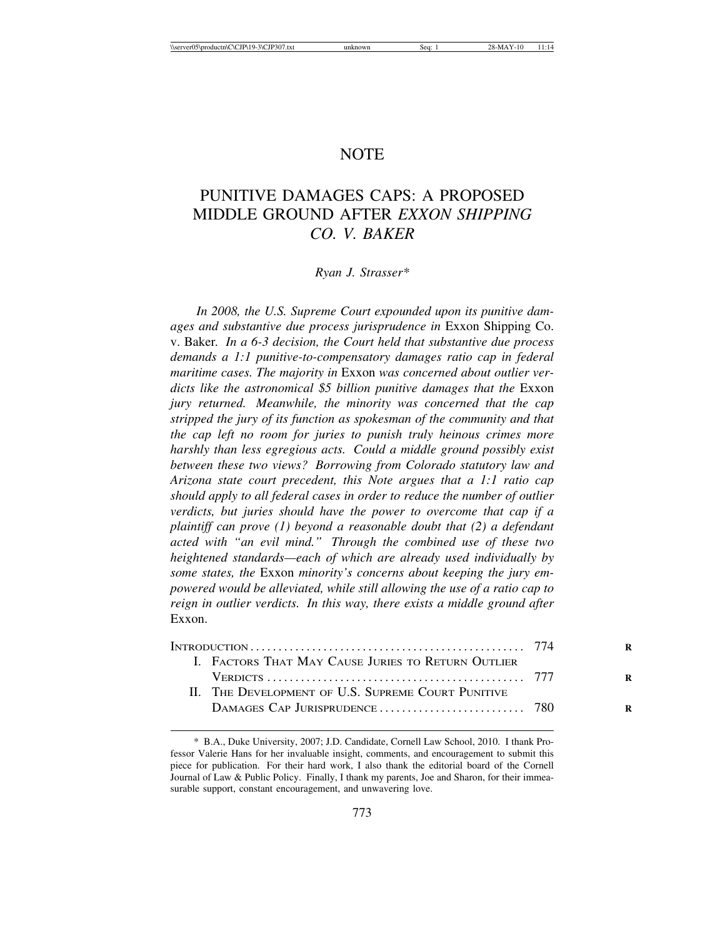# **NOTE**

# PUNITIVE DAMAGES CAPS: A PROPOSED MIDDLE GROUND AFTER *EXXON SHIPPING CO. V. BAKER*

#### *Ryan J. Strasser\**

*In 2008, the U.S. Supreme Court expounded upon its punitive damages and substantive due process jurisprudence in* Exxon Shipping Co. v. Baker*. In a 6-3 decision, the Court held that substantive due process demands a 1:1 punitive-to-compensatory damages ratio cap in federal maritime cases. The majority in* Exxon *was concerned about outlier verdicts like the astronomical \$5 billion punitive damages that the* Exxon *jury returned. Meanwhile, the minority was concerned that the cap stripped the jury of its function as spokesman of the community and that the cap left no room for juries to punish truly heinous crimes more harshly than less egregious acts. Could a middle ground possibly exist between these two views? Borrowing from Colorado statutory law and Arizona state court precedent, this Note argues that a 1:1 ratio cap should apply to all federal cases in order to reduce the number of outlier verdicts, but juries should have the power to overcome that cap if a plaintiff can prove (1) beyond a reasonable doubt that (2) a defendant acted with "an evil mind." Through the combined use of these two heightened standards—each of which are already used individually by some states, the* Exxon *minority's concerns about keeping the jury empowered would be alleviated, while still allowing the use of a ratio cap to reign in outlier verdicts. In this way, there exists a middle ground after* Exxon.

|  | I. FACTORS THAT MAY CAUSE JURIES TO RETURN OUTLIER |  |
|--|----------------------------------------------------|--|
|  |                                                    |  |
|  | II. THE DEVELOPMENT OF U.S. SUPREME COURT PUNITIVE |  |
|  |                                                    |  |
|  |                                                    |  |

<sup>\*</sup> B.A., Duke University, 2007; J.D. Candidate, Cornell Law School, 2010. I thank Professor Valerie Hans for her invaluable insight, comments, and encouragement to submit this piece for publication. For their hard work, I also thank the editorial board of the Cornell Journal of Law & Public Policy. Finally, I thank my parents, Joe and Sharon, for their immeasurable support, constant encouragement, and unwavering love.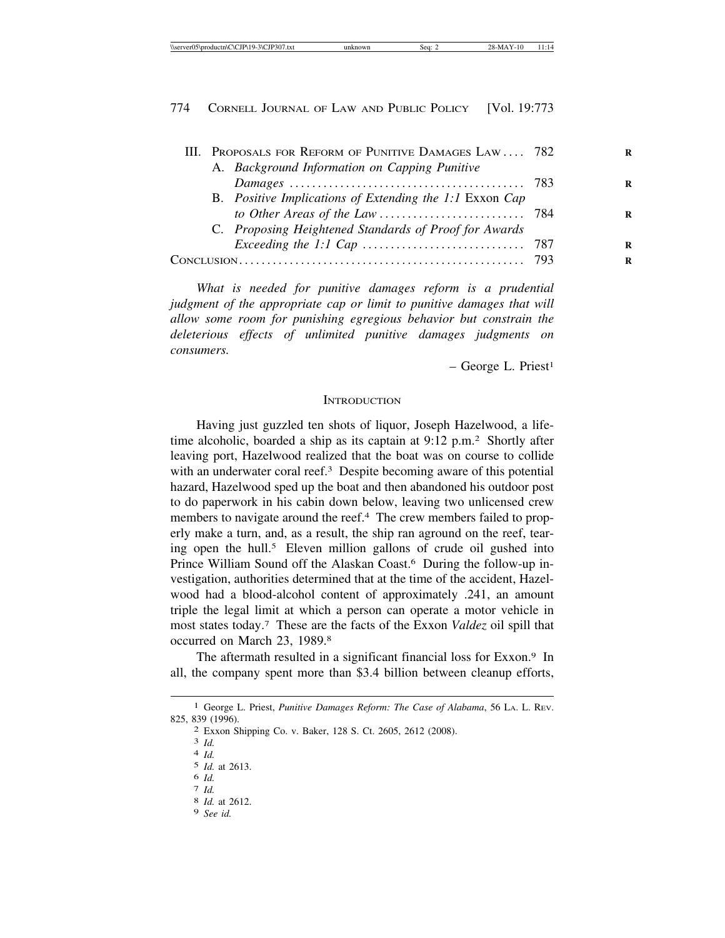|  | III. PROPOSALS FOR REFORM OF PUNITIVE DAMAGES LAW 782   |  |
|--|---------------------------------------------------------|--|
|  | A. Background Information on Capping Punitive           |  |
|  |                                                         |  |
|  | B. Positive Implications of Extending the 1:1 Exxon Cap |  |
|  |                                                         |  |
|  | C. Proposing Heightened Standards of Proof for Awards   |  |
|  |                                                         |  |
|  |                                                         |  |
|  |                                                         |  |

*What is needed for punitive damages reform is a prudential judgment of the appropriate cap or limit to punitive damages that will allow some room for punishing egregious behavior but constrain the deleterious effects of unlimited punitive damages judgments on consumers.*

 $-$  George L. Priest<sup>1</sup>

#### **INTRODUCTION**

Having just guzzled ten shots of liquor, Joseph Hazelwood, a lifetime alcoholic, boarded a ship as its captain at 9:12 p.m.2 Shortly after leaving port, Hazelwood realized that the boat was on course to collide with an underwater coral reef.<sup>3</sup> Despite becoming aware of this potential hazard, Hazelwood sped up the boat and then abandoned his outdoor post to do paperwork in his cabin down below, leaving two unlicensed crew members to navigate around the reef.<sup>4</sup> The crew members failed to properly make a turn, and, as a result, the ship ran aground on the reef, tearing open the hull.<sup>5</sup> Eleven million gallons of crude oil gushed into Prince William Sound off the Alaskan Coast.6 During the follow-up investigation, authorities determined that at the time of the accident, Hazelwood had a blood-alcohol content of approximately .241, an amount triple the legal limit at which a person can operate a motor vehicle in most states today.7 These are the facts of the Exxon *Valdez* oil spill that occurred on March 23, 1989.8

The aftermath resulted in a significant financial loss for Exxon.<sup>9</sup> In all, the company spent more than \$3.4 billion between cleanup efforts,

<sup>1</sup> George L. Priest, *Punitive Damages Reform: The Case of Alabama*, 56 LA. L. REV. 825, 839 (1996). <sup>2</sup> Exxon Shipping Co. v. Baker, 128 S. Ct. 2605, 2612 (2008). <sup>3</sup> *Id.* <sup>4</sup> *Id.*

<sup>5</sup> *Id.* at 2613.

<sup>6</sup> *Id.* <sup>7</sup> *Id.* <sup>8</sup> *Id.* at 2612.

<sup>9</sup> *See id.*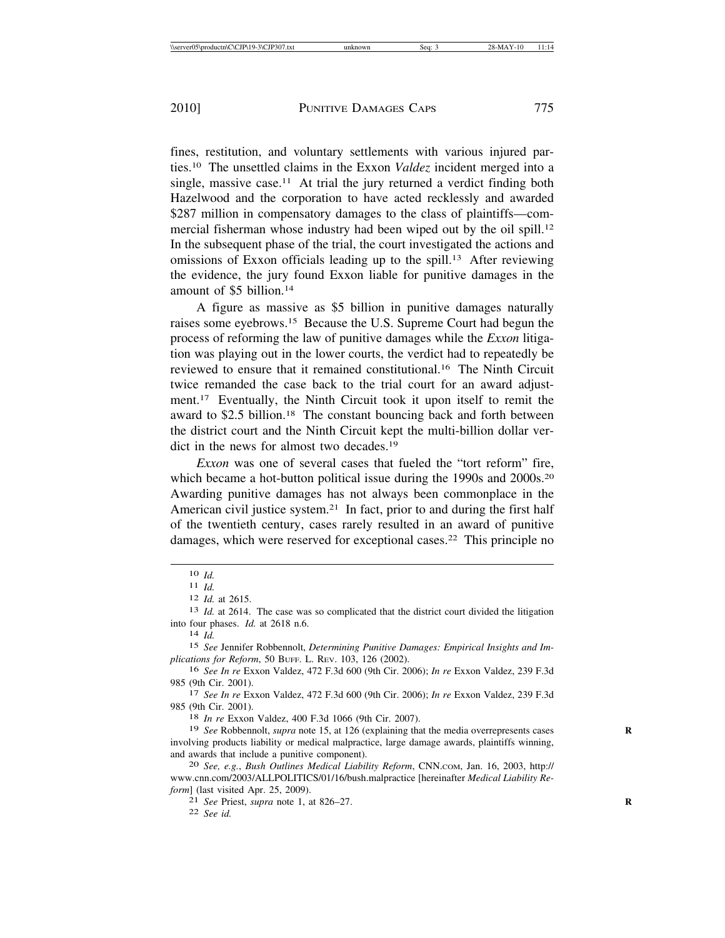fines, restitution, and voluntary settlements with various injured parties.10 The unsettled claims in the Exxon *Valdez* incident merged into a single, massive case.<sup>11</sup> At trial the jury returned a verdict finding both Hazelwood and the corporation to have acted recklessly and awarded \$287 million in compensatory damages to the class of plaintiffs—commercial fisherman whose industry had been wiped out by the oil spill.12 In the subsequent phase of the trial, the court investigated the actions and omissions of Exxon officials leading up to the spill.13 After reviewing the evidence, the jury found Exxon liable for punitive damages in the amount of \$5 billion.14

A figure as massive as \$5 billion in punitive damages naturally raises some eyebrows.15 Because the U.S. Supreme Court had begun the process of reforming the law of punitive damages while the *Exxon* litigation was playing out in the lower courts, the verdict had to repeatedly be reviewed to ensure that it remained constitutional.16 The Ninth Circuit twice remanded the case back to the trial court for an award adjustment.17 Eventually, the Ninth Circuit took it upon itself to remit the award to \$2.5 billion.18 The constant bouncing back and forth between the district court and the Ninth Circuit kept the multi-billion dollar verdict in the news for almost two decades.<sup>19</sup>

*Exxon* was one of several cases that fueled the "tort reform" fire, which became a hot-button political issue during the 1990s and 2000s.<sup>20</sup> Awarding punitive damages has not always been commonplace in the American civil justice system.21 In fact, prior to and during the first half of the twentieth century, cases rarely resulted in an award of punitive damages, which were reserved for exceptional cases.22 This principle no

985 (9th Cir. 2001). <sup>17</sup> *See In re* Exxon Valdez, 472 F.3d 600 (9th Cir. 2006); *In re* Exxon Valdez, 239 F.3d 985 (9th Cir. 2001). <sup>18</sup> *In re* Exxon Valdez, 400 F.3d 1066 (9th Cir. 2007).

<sup>19</sup> *See* Robbennolt, *supra* note 15, at 126 (explaining that the media overrepresents cases involving products liability or medical malpractice, large damage awards, plaintiffs winning, and awards that include a punitive component). <sup>20</sup> *See, e.g.*, *Bush Outlines Medical Liability Reform*, CNN.COM, Jan. 16, 2003, http://

www.cnn.com/2003/ALLPOLITICS/01/16/bush.malpractice [hereinafter *Medical Liability Reform*] (last visited Apr. 25, 2009).

21 *See* Priest, *supra* note 1, at 826–27. **R**

22 *See id.*

<sup>10</sup> *Id.*<br>
11 *Id.*<br>
12 *Id.* at 2615.<br>
13 *Id.* at 2614. The case was so complicated that the district court divided the litigation into four phases. *Id.* at 2618 n.6. <sup>14</sup> *Id.*

<sup>15</sup> *See* Jennifer Robbennolt, *Determining Punitive Damages: Empirical Insights and Implications for Reform*, 50 BUFF. L. REV. 103, 126 (2002).

<sup>16</sup> *See In re* Exxon Valdez, 472 F.3d 600 (9th Cir. 2006); *In re* Exxon Valdez, 239 F.3d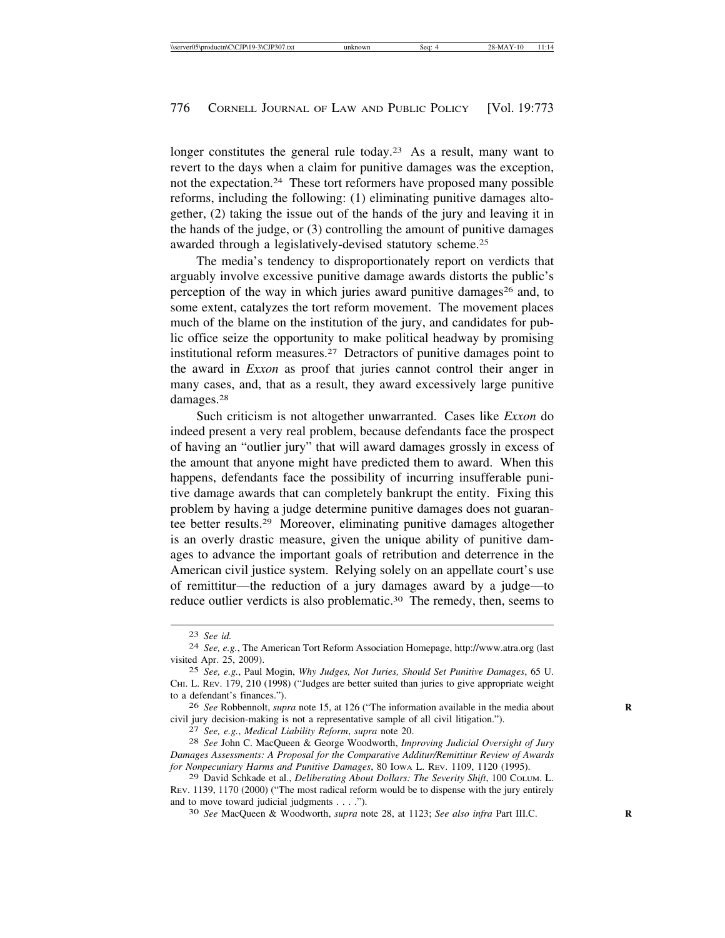longer constitutes the general rule today.<sup>23</sup> As a result, many want to revert to the days when a claim for punitive damages was the exception, not the expectation.24 These tort reformers have proposed many possible reforms, including the following: (1) eliminating punitive damages altogether, (2) taking the issue out of the hands of the jury and leaving it in the hands of the judge, or (3) controlling the amount of punitive damages awarded through a legislatively-devised statutory scheme.25

The media's tendency to disproportionately report on verdicts that arguably involve excessive punitive damage awards distorts the public's perception of the way in which juries award punitive damages<sup>26</sup> and, to some extent, catalyzes the tort reform movement. The movement places much of the blame on the institution of the jury, and candidates for public office seize the opportunity to make political headway by promising institutional reform measures.27 Detractors of punitive damages point to the award in *Exxon* as proof that juries cannot control their anger in many cases, and, that as a result, they award excessively large punitive damages.28

Such criticism is not altogether unwarranted. Cases like *Exxon* do indeed present a very real problem, because defendants face the prospect of having an "outlier jury" that will award damages grossly in excess of the amount that anyone might have predicted them to award. When this happens, defendants face the possibility of incurring insufferable punitive damage awards that can completely bankrupt the entity. Fixing this problem by having a judge determine punitive damages does not guarantee better results.29 Moreover, eliminating punitive damages altogether is an overly drastic measure, given the unique ability of punitive damages to advance the important goals of retribution and deterrence in the American civil justice system. Relying solely on an appellate court's use of remittitur—the reduction of a jury damages award by a judge—to reduce outlier verdicts is also problematic.30 The remedy, then, seems to

<sup>23</sup> *See id.* <sup>24</sup> *See, e.g.*, The American Tort Reform Association Homepage, http://www.atra.org (last visited Apr. 25, 2009).

<sup>25</sup> *See, e.g.*, Paul Mogin, *Why Judges, Not Juries, Should Set Punitive Damages*, 65 U. CHI. L. REV. 179, 210 (1998) ("Judges are better suited than juries to give appropriate weight to a defendant's finances.").

<sup>26</sup> *See* Robbennolt, *supra* note 15, at 126 ("The information available in the media about **R** civil jury decision-making is not a representative sample of all civil litigation.").<br>
<sup>27</sup> See, e.g., Medical Liability Reform, supra note 20.<br>
<sup>28</sup> See John C. MacQueen & George Woodworth, *Improving Judicial Oversight o* 

*Damages Assessments: A Proposal for the Comparative Additur/Remittitur Review of Awards for Nonpecuniary Harms and Punitive Damages*, 80 IOWA L. REV. 1109, 1120 (1995).

<sup>29</sup> David Schkade et al., *Deliberating About Dollars: The Severity Shift*, 100 COLUM. L. REV. 1139, 1170 (2000) ("The most radical reform would be to dispense with the jury entirely and to move toward judicial judgments . . . .").<br><sup>30</sup> *See MacQueen & Woodworth, <i>supra* note 28, at 1123; *See also infra* Part III.C.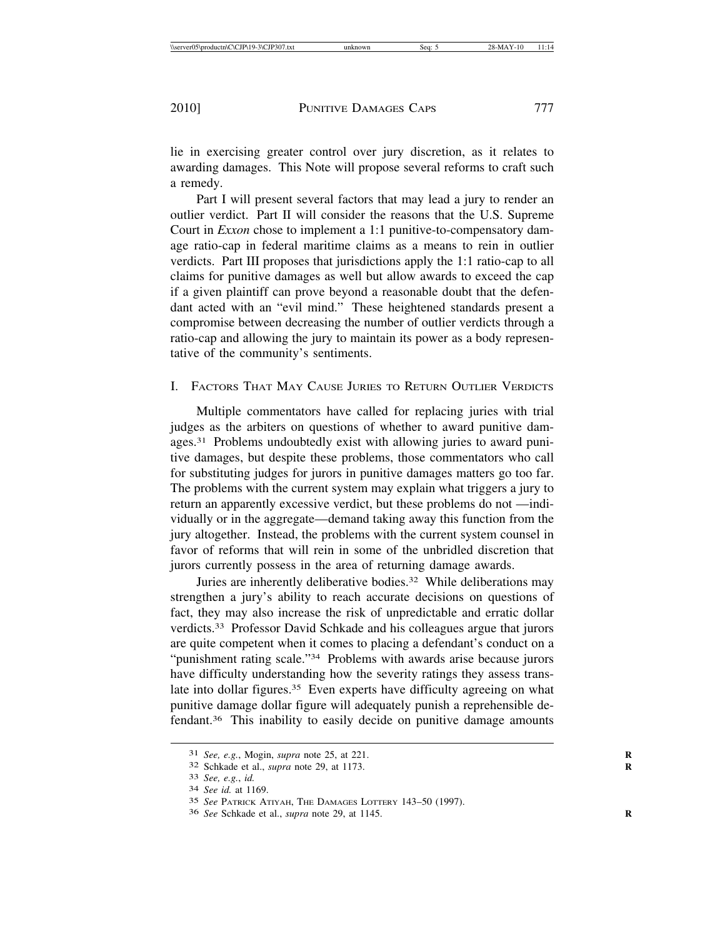lie in exercising greater control over jury discretion, as it relates to awarding damages. This Note will propose several reforms to craft such a remedy.

Part I will present several factors that may lead a jury to render an outlier verdict. Part II will consider the reasons that the U.S. Supreme Court in *Exxon* chose to implement a 1:1 punitive-to-compensatory damage ratio-cap in federal maritime claims as a means to rein in outlier verdicts. Part III proposes that jurisdictions apply the 1:1 ratio-cap to all claims for punitive damages as well but allow awards to exceed the cap if a given plaintiff can prove beyond a reasonable doubt that the defendant acted with an "evil mind." These heightened standards present a compromise between decreasing the number of outlier verdicts through a ratio-cap and allowing the jury to maintain its power as a body representative of the community's sentiments.

# I. FACTORS THAT MAY CAUSE JURIES TO RETURN OUTLIER VERDICTS

Multiple commentators have called for replacing juries with trial judges as the arbiters on questions of whether to award punitive damages.31 Problems undoubtedly exist with allowing juries to award punitive damages, but despite these problems, those commentators who call for substituting judges for jurors in punitive damages matters go too far. The problems with the current system may explain what triggers a jury to return an apparently excessive verdict, but these problems do not —individually or in the aggregate—demand taking away this function from the jury altogether. Instead, the problems with the current system counsel in favor of reforms that will rein in some of the unbridled discretion that jurors currently possess in the area of returning damage awards.

Juries are inherently deliberative bodies.<sup>32</sup> While deliberations may strengthen a jury's ability to reach accurate decisions on questions of fact, they may also increase the risk of unpredictable and erratic dollar verdicts.33 Professor David Schkade and his colleagues argue that jurors are quite competent when it comes to placing a defendant's conduct on a "punishment rating scale."34 Problems with awards arise because jurors have difficulty understanding how the severity ratings they assess translate into dollar figures.<sup>35</sup> Even experts have difficulty agreeing on what punitive damage dollar figure will adequately punish a reprehensible defendant.36 This inability to easily decide on punitive damage amounts

<sup>31</sup> *See, e.g.*, Mogin, *supra* note 25, at 221. **R**

<sup>32</sup> Schkade et al., *supra* note 29, at 1173. **R**

<sup>33</sup> *See, e.g.*, *id.* <sup>34</sup> *See id.* at 1169.

<sup>35</sup> *See* PATRICK ATIYAH, THE DAMAGES LOTTERY 143–50 (1997).

<sup>36</sup> *See* Schkade et al., *supra* note 29, at 1145. **R**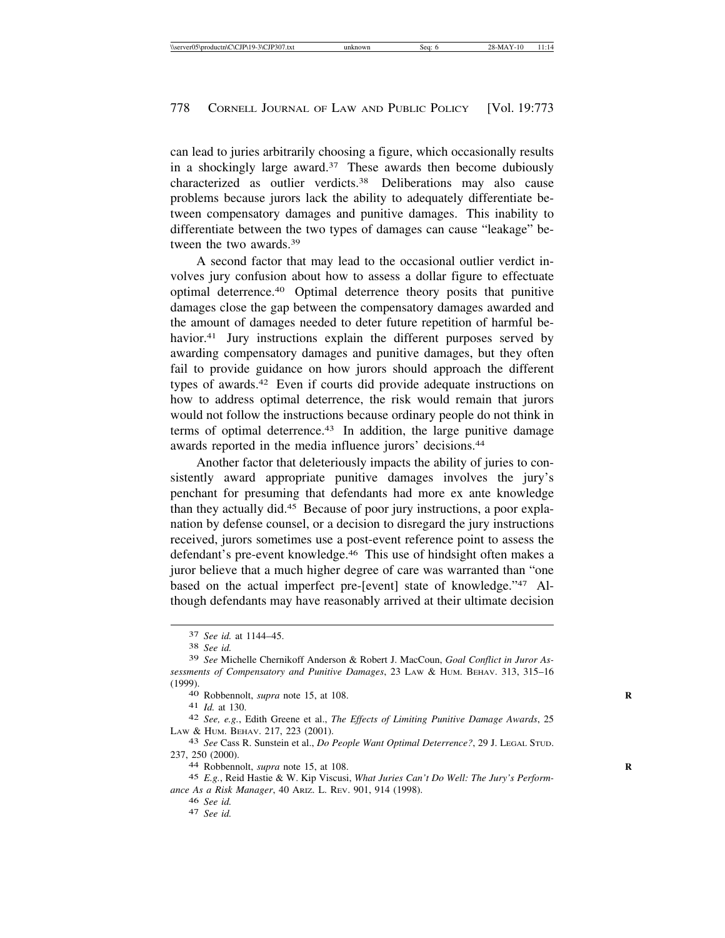can lead to juries arbitrarily choosing a figure, which occasionally results in a shockingly large award. $37$  These awards then become dubiously characterized as outlier verdicts.38 Deliberations may also cause problems because jurors lack the ability to adequately differentiate between compensatory damages and punitive damages. This inability to differentiate between the two types of damages can cause "leakage" between the two awards.39

A second factor that may lead to the occasional outlier verdict involves jury confusion about how to assess a dollar figure to effectuate optimal deterrence.40 Optimal deterrence theory posits that punitive damages close the gap between the compensatory damages awarded and the amount of damages needed to deter future repetition of harmful behavior.<sup>41</sup> Jury instructions explain the different purposes served by awarding compensatory damages and punitive damages, but they often fail to provide guidance on how jurors should approach the different types of awards.42 Even if courts did provide adequate instructions on how to address optimal deterrence, the risk would remain that jurors would not follow the instructions because ordinary people do not think in terms of optimal deterrence.<sup>43</sup> In addition, the large punitive damage awards reported in the media influence jurors' decisions.44

Another factor that deleteriously impacts the ability of juries to consistently award appropriate punitive damages involves the jury's penchant for presuming that defendants had more ex ante knowledge than they actually did.45 Because of poor jury instructions, a poor explanation by defense counsel, or a decision to disregard the jury instructions received, jurors sometimes use a post-event reference point to assess the defendant's pre-event knowledge.46 This use of hindsight often makes a juror believe that a much higher degree of care was warranted than "one based on the actual imperfect pre-[event] state of knowledge."47 Although defendants may have reasonably arrived at their ultimate decision

<sup>42</sup> *See, e.g.*, Edith Greene et al., *The Effects of Limiting Punitive Damage Awards*, 25 LAW & HUM. BEHAV. 217, 223 (2001).

<sup>43</sup> *See Cass R. Sunstein et al., <i>Do People Want Optimal Deterrence*?, 29 J. LEGAL STUD. 237. 250 (2000).

44 Robbennolt, *supra* note 15, at 108.

45 *E.g.*, Reid Hastie & W. Kip Viscusi, *What Juries Can't Do Well: The Jury's Performance As a Risk Manager*, 40 ARIZ. L. REV. 901, 914 (1998).

<sup>46</sup> *See id.* <sup>47</sup> *See id.*

<sup>37</sup> *See id.* at 1144–45. <sup>38</sup> *See id.*

<sup>39</sup> *See* Michelle Chernikoff Anderson & Robert J. MacCoun, *Goal Conflict in Juror Assessments of Compensatory and Punitive Damages*, 23 LAW & HUM. BEHAV. 313, 315–16 (1999).<br>
40 Robbennolt, *supra* note 15, at 108.<br>
41 *Id.* at 130.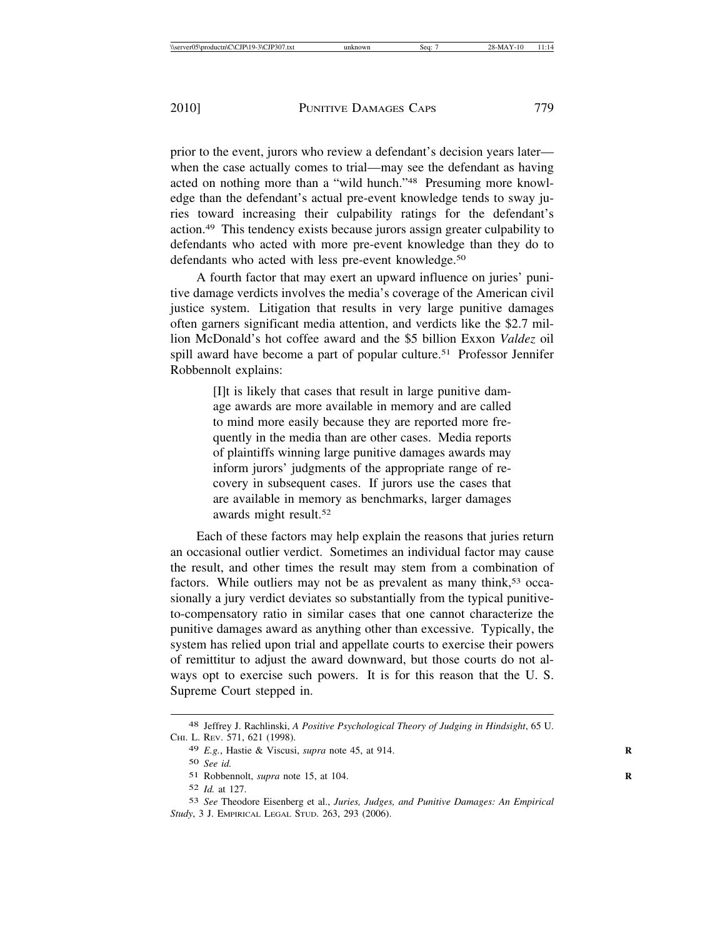prior to the event, jurors who review a defendant's decision years later when the case actually comes to trial—may see the defendant as having acted on nothing more than a "wild hunch."48 Presuming more knowledge than the defendant's actual pre-event knowledge tends to sway juries toward increasing their culpability ratings for the defendant's action.49 This tendency exists because jurors assign greater culpability to defendants who acted with more pre-event knowledge than they do to defendants who acted with less pre-event knowledge.<sup>50</sup>

A fourth factor that may exert an upward influence on juries' punitive damage verdicts involves the media's coverage of the American civil justice system. Litigation that results in very large punitive damages often garners significant media attention, and verdicts like the \$2.7 million McDonald's hot coffee award and the \$5 billion Exxon *Valdez* oil spill award have become a part of popular culture.<sup>51</sup> Professor Jennifer Robbennolt explains:

> [I]t is likely that cases that result in large punitive damage awards are more available in memory and are called to mind more easily because they are reported more frequently in the media than are other cases. Media reports of plaintiffs winning large punitive damages awards may inform jurors' judgments of the appropriate range of recovery in subsequent cases. If jurors use the cases that are available in memory as benchmarks, larger damages awards might result.52

Each of these factors may help explain the reasons that juries return an occasional outlier verdict. Sometimes an individual factor may cause the result, and other times the result may stem from a combination of factors. While outliers may not be as prevalent as many think,<sup>53</sup> occasionally a jury verdict deviates so substantially from the typical punitiveto-compensatory ratio in similar cases that one cannot characterize the punitive damages award as anything other than excessive. Typically, the system has relied upon trial and appellate courts to exercise their powers of remittitur to adjust the award downward, but those courts do not always opt to exercise such powers. It is for this reason that the U. S. Supreme Court stepped in.

<sup>48</sup> Jeffrey J. Rachlinski, *A Positive Psychological Theory of Judging in Hindsight*, 65 U. CHI. L. REV. 571, 621 (1998).

<sup>49</sup> *E.g.*, Hastie & Viscusi, *supra* note 45, at 914. **R**

<sup>50</sup> *See id.*

<sup>51</sup> Robbennolt, *supra* note 15, at 104. **R**

<sup>52</sup> *Id.* at 127.

<sup>53</sup> *See* Theodore Eisenberg et al., *Juries, Judges, and Punitive Damages: An Empirical Study*, 3 J. EMPIRICAL LEGAL STUD. 263, 293 (2006).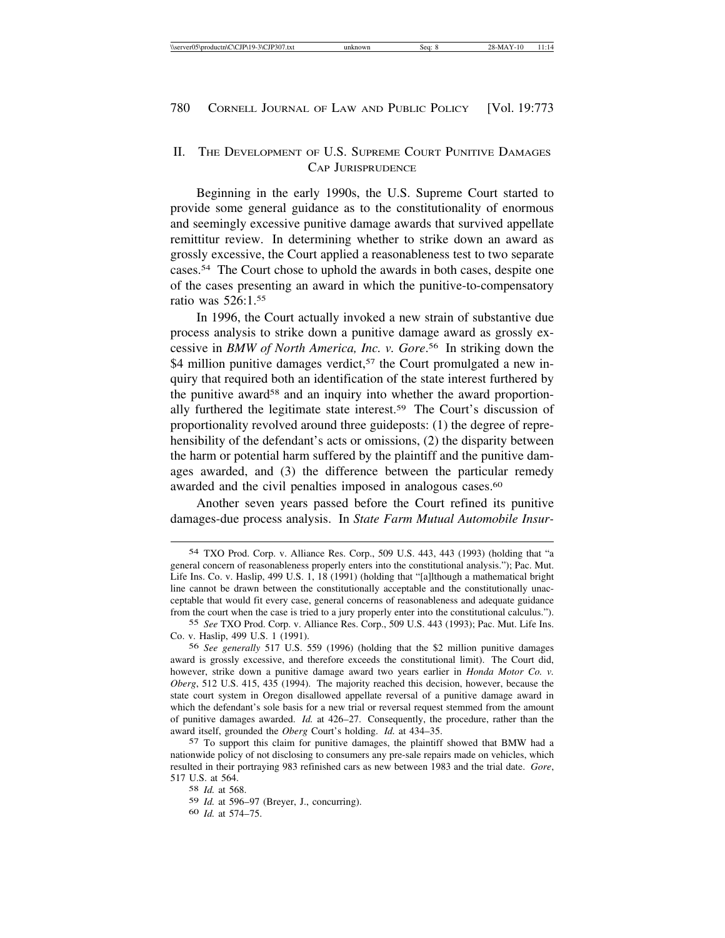## II. THE DEVELOPMENT OF U.S. SUPREME COURT PUNITIVE DAMAGES CAP JURISPRUDENCE

Beginning in the early 1990s, the U.S. Supreme Court started to provide some general guidance as to the constitutionality of enormous and seemingly excessive punitive damage awards that survived appellate remittitur review. In determining whether to strike down an award as grossly excessive, the Court applied a reasonableness test to two separate cases.54 The Court chose to uphold the awards in both cases, despite one of the cases presenting an award in which the punitive-to-compensatory ratio was 526:1.55

In 1996, the Court actually invoked a new strain of substantive due process analysis to strike down a punitive damage award as grossly excessive in *BMW of North America, Inc. v. Gore*. 56 In striking down the \$4 million punitive damages verdict,<sup>57</sup> the Court promulgated a new inquiry that required both an identification of the state interest furthered by the punitive award<sup>58</sup> and an inquiry into whether the award proportionally furthered the legitimate state interest.59 The Court's discussion of proportionality revolved around three guideposts: (1) the degree of reprehensibility of the defendant's acts or omissions, (2) the disparity between the harm or potential harm suffered by the plaintiff and the punitive damages awarded, and (3) the difference between the particular remedy awarded and the civil penalties imposed in analogous cases.<sup>60</sup>

Another seven years passed before the Court refined its punitive damages-due process analysis. In *State Farm Mutual Automobile Insur-*

60 *Id.* at 574–75.

<sup>54</sup> TXO Prod. Corp. v. Alliance Res. Corp., 509 U.S. 443, 443 (1993) (holding that "a general concern of reasonableness properly enters into the constitutional analysis."); Pac. Mut. Life Ins. Co. v. Haslip, 499 U.S. 1, 18 (1991) (holding that "[a]lthough a mathematical bright line cannot be drawn between the constitutionally acceptable and the constitutionally unacceptable that would fit every case, general concerns of reasonableness and adequate guidance from the court when the case is tried to a jury properly enter into the constitutional calculus.").

<sup>55</sup> *See* TXO Prod. Corp. v. Alliance Res. Corp., 509 U.S. 443 (1993); Pac. Mut. Life Ins. Co. v. Haslip, 499 U.S. 1 (1991).

<sup>56</sup> *See generally* 517 U.S. 559 (1996) (holding that the \$2 million punitive damages award is grossly excessive, and therefore exceeds the constitutional limit). The Court did, however, strike down a punitive damage award two years earlier in *Honda Motor Co. v. Oberg*, 512 U.S. 415, 435 (1994). The majority reached this decision, however, because the state court system in Oregon disallowed appellate reversal of a punitive damage award in which the defendant's sole basis for a new trial or reversal request stemmed from the amount of punitive damages awarded. *Id.* at 426–27. Consequently, the procedure, rather than the award itself, grounded the *Oberg* Court's holding. *Id.* at 434–35.

<sup>57</sup> To support this claim for punitive damages, the plaintiff showed that BMW had a nationwide policy of not disclosing to consumers any pre-sale repairs made on vehicles, which resulted in their portraying 983 refinished cars as new between 1983 and the trial date. *Gore*, 517 U.S. at 564.

<sup>58</sup> *Id.* at 568.

<sup>59</sup> *Id.* at 596–97 (Breyer, J., concurring).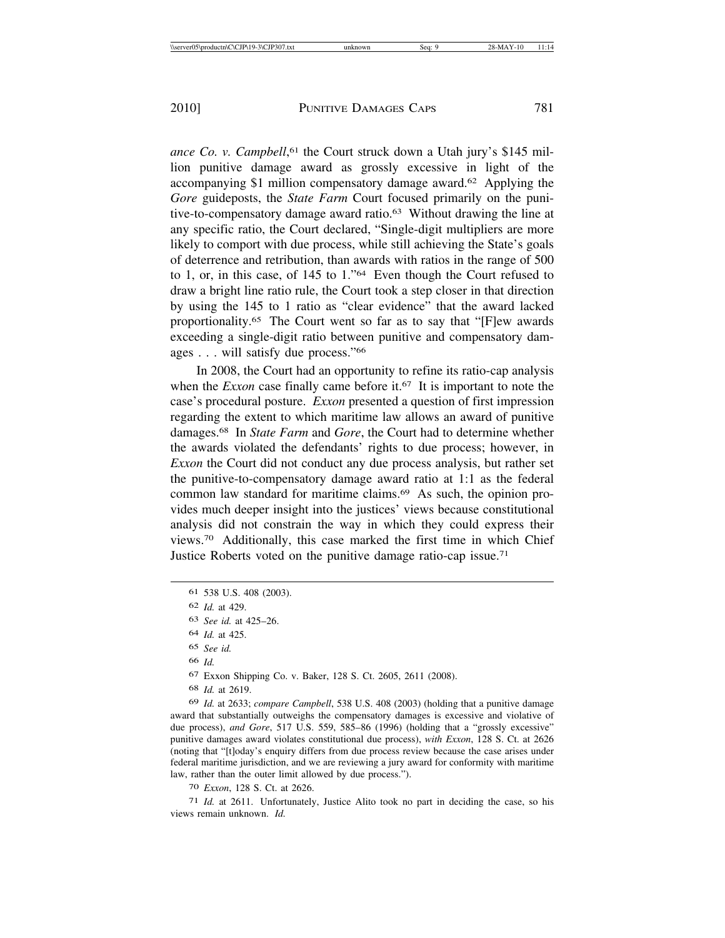ance Co. v. Campbell,<sup>61</sup> the Court struck down a Utah jury's \$145 million punitive damage award as grossly excessive in light of the accompanying \$1 million compensatory damage award.62 Applying the *Gore* guideposts, the *State Farm* Court focused primarily on the punitive-to-compensatory damage award ratio.63 Without drawing the line at any specific ratio, the Court declared, "Single-digit multipliers are more likely to comport with due process, while still achieving the State's goals of deterrence and retribution, than awards with ratios in the range of 500 to 1, or, in this case, of 145 to 1."64 Even though the Court refused to draw a bright line ratio rule, the Court took a step closer in that direction by using the 145 to 1 ratio as "clear evidence" that the award lacked proportionality.65 The Court went so far as to say that "[F]ew awards exceeding a single-digit ratio between punitive and compensatory damages . . . will satisfy due process."66

In 2008, the Court had an opportunity to refine its ratio-cap analysis when the *Exxon* case finally came before it.<sup>67</sup> It is important to note the case's procedural posture. *Exxon* presented a question of first impression regarding the extent to which maritime law allows an award of punitive damages.68 In *State Farm* and *Gore*, the Court had to determine whether the awards violated the defendants' rights to due process; however, in *Exxon* the Court did not conduct any due process analysis, but rather set the punitive-to-compensatory damage award ratio at 1:1 as the federal common law standard for maritime claims.69 As such, the opinion provides much deeper insight into the justices' views because constitutional analysis did not constrain the way in which they could express their views.70 Additionally, this case marked the first time in which Chief Justice Roberts voted on the punitive damage ratio-cap issue.71

66 *Id.*

67 Exxon Shipping Co. v. Baker, 128 S. Ct. 2605, 2611 (2008).

68 *Id.* at 2619.

69 *Id.* at 2633; *compare Campbell*, 538 U.S. 408 (2003) (holding that a punitive damage award that substantially outweighs the compensatory damages is excessive and violative of due process), *and Gore*, 517 U.S. 559, 585–86 (1996) (holding that a "grossly excessive" punitive damages award violates constitutional due process), *with Exxon*, 128 S. Ct. at 2626 (noting that "[t]oday's enquiry differs from due process review because the case arises under federal maritime jurisdiction, and we are reviewing a jury award for conformity with maritime law, rather than the outer limit allowed by due process.").

70 *Exxon*, 128 S. Ct. at 2626.

71 *Id.* at 2611. Unfortunately, Justice Alito took no part in deciding the case, so his views remain unknown. *Id.*

<sup>61</sup> 538 U.S. 408 (2003).

<sup>62</sup> *Id.* at 429.

<sup>63</sup> *See id.* at 425–26.

<sup>64</sup> *Id.* at 425.

<sup>65</sup> *See id.*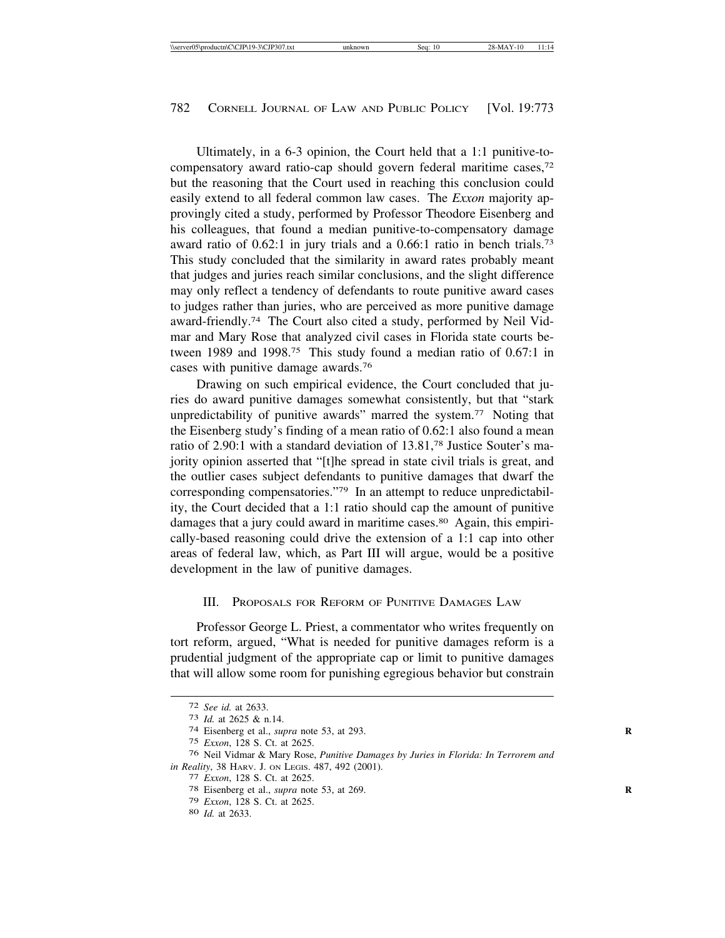Ultimately, in a 6-3 opinion, the Court held that a 1:1 punitive-tocompensatory award ratio-cap should govern federal maritime cases,72 but the reasoning that the Court used in reaching this conclusion could easily extend to all federal common law cases. The *Exxon* majority approvingly cited a study, performed by Professor Theodore Eisenberg and his colleagues, that found a median punitive-to-compensatory damage award ratio of 0.62:1 in jury trials and a 0.66:1 ratio in bench trials.73 This study concluded that the similarity in award rates probably meant that judges and juries reach similar conclusions, and the slight difference may only reflect a tendency of defendants to route punitive award cases to judges rather than juries, who are perceived as more punitive damage award-friendly.74 The Court also cited a study, performed by Neil Vidmar and Mary Rose that analyzed civil cases in Florida state courts between 1989 and 1998.75 This study found a median ratio of 0.67:1 in cases with punitive damage awards.76

Drawing on such empirical evidence, the Court concluded that juries do award punitive damages somewhat consistently, but that "stark unpredictability of punitive awards" marred the system.<sup>77</sup> Noting that the Eisenberg study's finding of a mean ratio of 0.62:1 also found a mean ratio of 2.90:1 with a standard deviation of 13.81,78 Justice Souter's majority opinion asserted that "[t]he spread in state civil trials is great, and the outlier cases subject defendants to punitive damages that dwarf the corresponding compensatories."79 In an attempt to reduce unpredictability, the Court decided that a 1:1 ratio should cap the amount of punitive damages that a jury could award in maritime cases.<sup>80</sup> Again, this empirically-based reasoning could drive the extension of a 1:1 cap into other areas of federal law, which, as Part III will argue, would be a positive development in the law of punitive damages.

#### III. PROPOSALS FOR REFORM OF PUNITIVE DAMAGES LAW

Professor George L. Priest, a commentator who writes frequently on tort reform, argued, "What is needed for punitive damages reform is a prudential judgment of the appropriate cap or limit to punitive damages that will allow some room for punishing egregious behavior but constrain

<sup>72</sup> *See id.* at 2633. <sup>73</sup> *Id.* at 2625 & n.14. <sup>74</sup> Eisenberg et al., *supra* note 53, at 293. **<sup>R</sup>**

<sup>75</sup> *Exxon*, 128 S. Ct. at 2625.

<sup>76</sup> Neil Vidmar & Mary Rose, *Punitive Damages by Juries in Florida: In Terrorem and in Reality*, 38 HARV. J. ON LEGIS. 487, 492 (2001).<br>
<sup>77</sup> *Exxon*, 128 S. Ct. at 2625.<br>
<sup>78</sup> Eisenberg et al., *supra* note 53, at 269.

<sup>79</sup> *Exxon*, 128 S. Ct. at 2625. <sup>80</sup> *Id.* at 2633.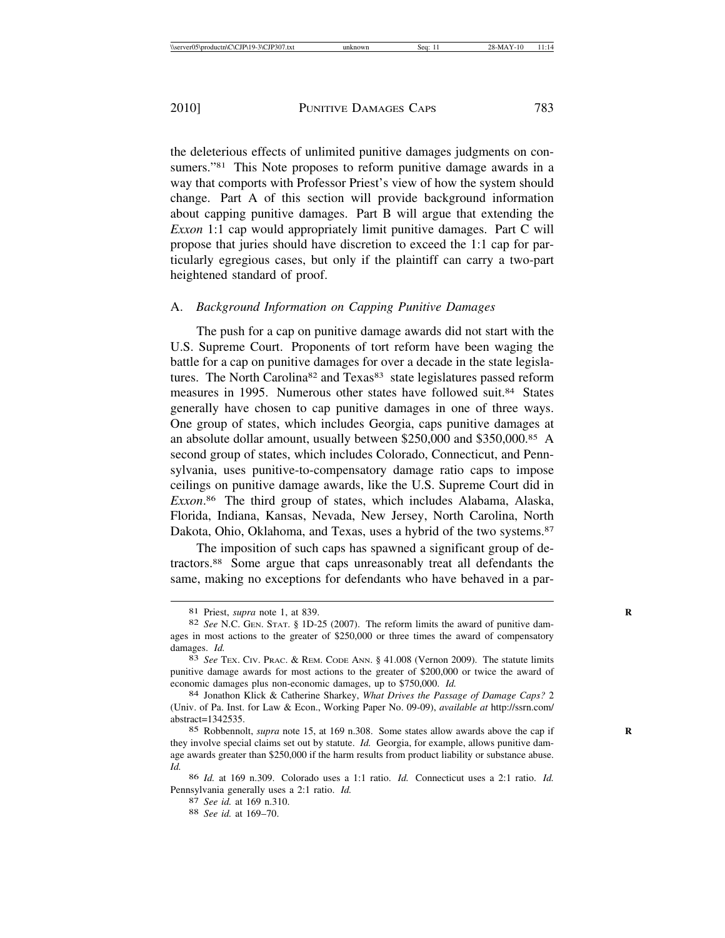the deleterious effects of unlimited punitive damages judgments on consumers."<sup>81</sup> This Note proposes to reform punitive damage awards in a way that comports with Professor Priest's view of how the system should change. Part A of this section will provide background information about capping punitive damages. Part B will argue that extending the *Exxon* 1:1 cap would appropriately limit punitive damages. Part C will propose that juries should have discretion to exceed the 1:1 cap for particularly egregious cases, but only if the plaintiff can carry a two-part heightened standard of proof.

### A. *Background Information on Capping Punitive Damages*

The push for a cap on punitive damage awards did not start with the U.S. Supreme Court. Proponents of tort reform have been waging the battle for a cap on punitive damages for over a decade in the state legislatures. The North Carolina<sup>82</sup> and Texas<sup>83</sup> state legislatures passed reform measures in 1995. Numerous other states have followed suit.84 States generally have chosen to cap punitive damages in one of three ways. One group of states, which includes Georgia, caps punitive damages at an absolute dollar amount, usually between \$250,000 and \$350,000.85 A second group of states, which includes Colorado, Connecticut, and Pennsylvania, uses punitive-to-compensatory damage ratio caps to impose ceilings on punitive damage awards, like the U.S. Supreme Court did in *Exxon*. 86 The third group of states, which includes Alabama, Alaska, Florida, Indiana, Kansas, Nevada, New Jersey, North Carolina, North Dakota, Ohio, Oklahoma, and Texas, uses a hybrid of the two systems.87

The imposition of such caps has spawned a significant group of detractors.88 Some argue that caps unreasonably treat all defendants the same, making no exceptions for defendants who have behaved in a par-

<sup>81</sup> Priest, *supra* note 1, at 839. **R**

<sup>82</sup> *See* N.C. GEN. STAT. § 1D-25 (2007). The reform limits the award of punitive damages in most actions to the greater of \$250,000 or three times the award of compensatory damages. *Id.* 83 *See* Tex. Civ. Prac. & Rem. Code Ann. § 41.008 (Vernon 2009). The statute limits

punitive damage awards for most actions to the greater of \$200,000 or twice the award of economic damages plus non-economic damages, up to \$750,000. *Id.* 84 Jonathon Klick & Catherine Sharkey, *What Drives the Passage of Damage Caps?* 2

<sup>(</sup>Univ. of Pa. Inst. for Law & Econ., Working Paper No. 09-09), *available at* http://ssrn.com/ abstract=1342535.

<sup>85</sup> Robbennolt, *supra* note 15, at 169 n.308. Some states allow awards above the cap if **R** they involve special claims set out by statute. *Id.* Georgia, for example, allows punitive damage awards greater than \$250,000 if the harm results from product liability or substance abuse. *Id.*

<sup>86</sup> *Id.* at 169 n.309. Colorado uses a 1:1 ratio. *Id.* Connecticut uses a 2:1 ratio. *Id.* Pennsylvania generally uses a 2:1 ratio. *Id.* <sup>87</sup> *See id.* at 169 n.310. <sup>88</sup> *See id.* at 169–70.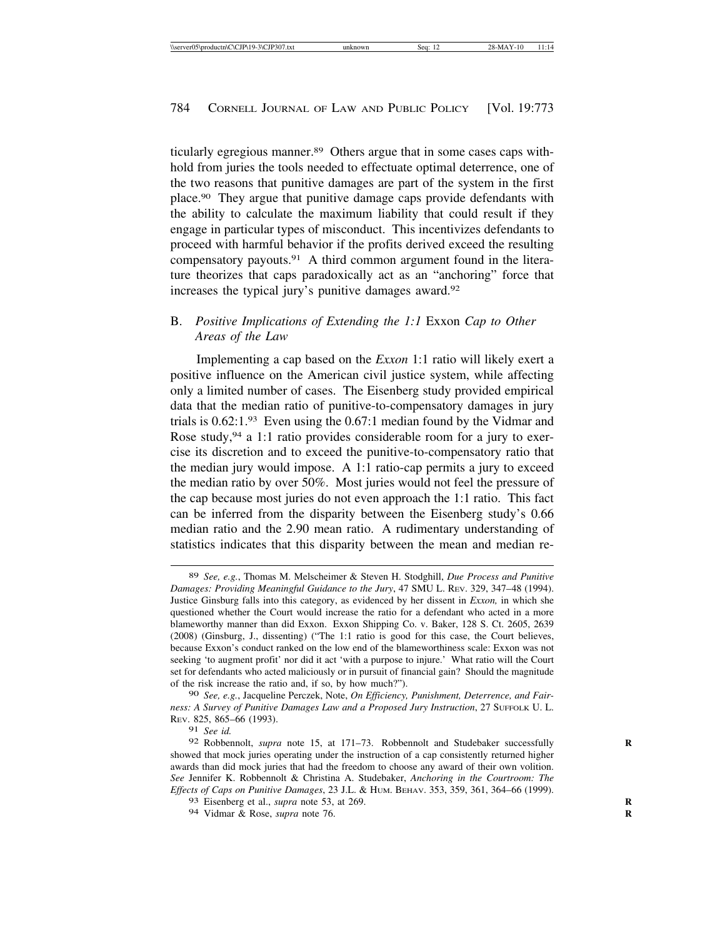ticularly egregious manner.89 Others argue that in some cases caps withhold from juries the tools needed to effectuate optimal deterrence, one of the two reasons that punitive damages are part of the system in the first place.90 They argue that punitive damage caps provide defendants with the ability to calculate the maximum liability that could result if they engage in particular types of misconduct. This incentivizes defendants to proceed with harmful behavior if the profits derived exceed the resulting compensatory payouts.91 A third common argument found in the literature theorizes that caps paradoxically act as an "anchoring" force that increases the typical jury's punitive damages award.92

### B. *Positive Implications of Extending the 1:1* Exxon *Cap to Other Areas of the Law*

Implementing a cap based on the *Exxon* 1:1 ratio will likely exert a positive influence on the American civil justice system, while affecting only a limited number of cases. The Eisenberg study provided empirical data that the median ratio of punitive-to-compensatory damages in jury trials is 0.62:1.93 Even using the 0.67:1 median found by the Vidmar and Rose study,  $94$  a 1:1 ratio provides considerable room for a jury to exercise its discretion and to exceed the punitive-to-compensatory ratio that the median jury would impose. A 1:1 ratio-cap permits a jury to exceed the median ratio by over 50%. Most juries would not feel the pressure of the cap because most juries do not even approach the 1:1 ratio. This fact can be inferred from the disparity between the Eisenberg study's 0.66 median ratio and the 2.90 mean ratio. A rudimentary understanding of statistics indicates that this disparity between the mean and median re-

90 *See, e.g.*, Jacqueline Perczek, Note, *On Efficiency, Punishment, Deterrence, and Fairness: A Survey of Punitive Damages Law and a Proposed Jury Instruction*, 27 SUFFOLK U. L. REV. 825, 865–66 (1993).

91 *See id.*

94 Vidmar & Rose, *supra* note 76. **R**

<sup>89</sup> *See, e.g.*, Thomas M. Melscheimer & Steven H. Stodghill, *Due Process and Punitive Damages: Providing Meaningful Guidance to the Jury*, 47 SMU L. REV. 329, 347–48 (1994). Justice Ginsburg falls into this category, as evidenced by her dissent in *Exxon,* in which she questioned whether the Court would increase the ratio for a defendant who acted in a more blameworthy manner than did Exxon. Exxon Shipping Co. v. Baker, 128 S. Ct. 2605, 2639 (2008) (Ginsburg, J., dissenting) ("The 1:1 ratio is good for this case, the Court believes, because Exxon's conduct ranked on the low end of the blameworthiness scale: Exxon was not seeking 'to augment profit' nor did it act 'with a purpose to injure.' What ratio will the Court set for defendants who acted maliciously or in pursuit of financial gain? Should the magnitude of the risk increase the ratio and, if so, by how much?").

<sup>92</sup> Robbennolt, *supra* note 15, at 171-73. Robbennolt and Studebaker successfully showed that mock juries operating under the instruction of a cap consistently returned higher awards than did mock juries that had the freedom to choose any award of their own volition. *See* Jennifer K. Robbennolt & Christina A. Studebaker, *Anchoring in the Courtroom: The Effects of Caps on Punitive Damages*, 23 J.L. & HUM. BEHAV. 353, 359, 361, 364–66 (1999).

<sup>93</sup> Eisenberg et al., *supra* note 53, at 269. **R**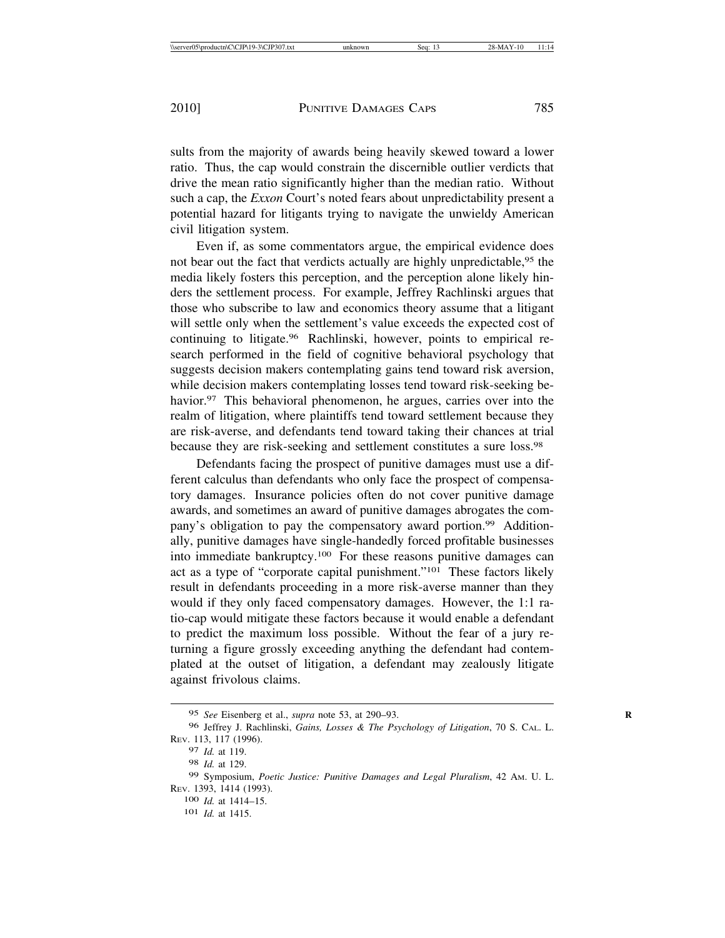sults from the majority of awards being heavily skewed toward a lower ratio. Thus, the cap would constrain the discernible outlier verdicts that drive the mean ratio significantly higher than the median ratio. Without such a cap, the *Exxon* Court's noted fears about unpredictability present a potential hazard for litigants trying to navigate the unwieldy American civil litigation system.

Even if, as some commentators argue, the empirical evidence does not bear out the fact that verdicts actually are highly unpredictable,<sup>95</sup> the media likely fosters this perception, and the perception alone likely hinders the settlement process. For example, Jeffrey Rachlinski argues that those who subscribe to law and economics theory assume that a litigant will settle only when the settlement's value exceeds the expected cost of continuing to litigate.96 Rachlinski, however, points to empirical research performed in the field of cognitive behavioral psychology that suggests decision makers contemplating gains tend toward risk aversion, while decision makers contemplating losses tend toward risk-seeking behavior.<sup>97</sup> This behavioral phenomenon, he argues, carries over into the realm of litigation, where plaintiffs tend toward settlement because they are risk-averse, and defendants tend toward taking their chances at trial because they are risk-seeking and settlement constitutes a sure loss.98

Defendants facing the prospect of punitive damages must use a different calculus than defendants who only face the prospect of compensatory damages. Insurance policies often do not cover punitive damage awards, and sometimes an award of punitive damages abrogates the company's obligation to pay the compensatory award portion.99 Additionally, punitive damages have single-handedly forced profitable businesses into immediate bankruptcy.100 For these reasons punitive damages can act as a type of "corporate capital punishment."101 These factors likely result in defendants proceeding in a more risk-averse manner than they would if they only faced compensatory damages. However, the 1:1 ratio-cap would mitigate these factors because it would enable a defendant to predict the maximum loss possible. Without the fear of a jury returning a figure grossly exceeding anything the defendant had contemplated at the outset of litigation, a defendant may zealously litigate against frivolous claims.

<sup>95</sup> *See* Eisenberg et al., *supra* note 53, at 290–93. **R**

<sup>96</sup> Jeffrey J. Rachlinski, *Gains, Losses & The Psychology of Litigation*, 70 S. CAL. L. REV. 113, 117 (1996).

<sup>97</sup> *Id.* at 119.

<sup>98</sup> *Id.* at 129.

<sup>99</sup> Symposium, *Poetic Justice: Punitive Damages and Legal Pluralism*, 42 AM. U. L. REV. 1393, 1414 (1993).

<sup>100</sup> *Id.* at 1414–15.

<sup>101</sup> *Id.* at 1415.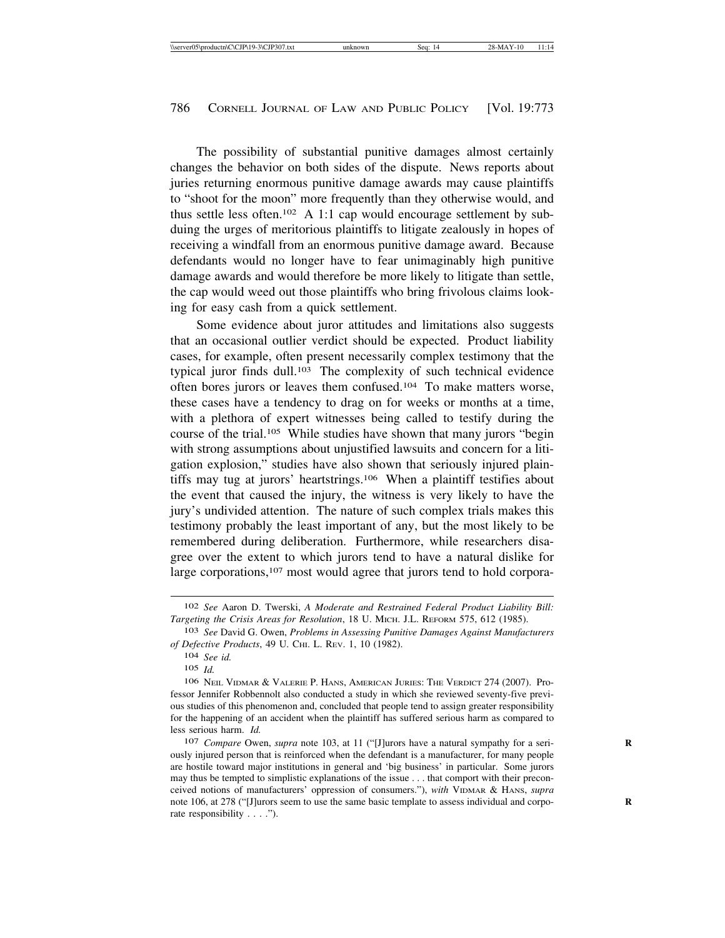The possibility of substantial punitive damages almost certainly changes the behavior on both sides of the dispute. News reports about juries returning enormous punitive damage awards may cause plaintiffs to "shoot for the moon" more frequently than they otherwise would, and thus settle less often.<sup>102</sup> A 1:1 cap would encourage settlement by subduing the urges of meritorious plaintiffs to litigate zealously in hopes of receiving a windfall from an enormous punitive damage award. Because defendants would no longer have to fear unimaginably high punitive damage awards and would therefore be more likely to litigate than settle, the cap would weed out those plaintiffs who bring frivolous claims looking for easy cash from a quick settlement.

Some evidence about juror attitudes and limitations also suggests that an occasional outlier verdict should be expected. Product liability cases, for example, often present necessarily complex testimony that the typical juror finds dull.103 The complexity of such technical evidence often bores jurors or leaves them confused.104 To make matters worse, these cases have a tendency to drag on for weeks or months at a time, with a plethora of expert witnesses being called to testify during the course of the trial.105 While studies have shown that many jurors "begin with strong assumptions about unjustified lawsuits and concern for a litigation explosion," studies have also shown that seriously injured plaintiffs may tug at jurors' heartstrings.106 When a plaintiff testifies about the event that caused the injury, the witness is very likely to have the jury's undivided attention. The nature of such complex trials makes this testimony probably the least important of any, but the most likely to be remembered during deliberation. Furthermore, while researchers disagree over the extent to which jurors tend to have a natural dislike for large corporations,<sup>107</sup> most would agree that jurors tend to hold corpora-

<sup>102</sup> *See* Aaron D. Twerski, *A Moderate and Restrained Federal Product Liability Bill: Targeting the Crisis Areas for Resolution*, 18 U. MICH. J.L. REFORM 575, 612 (1985).

<sup>103</sup> *See* David G. Owen, *Problems in Assessing Punitive Damages Against Manufacturers of Defective Products*, 49 U. CHI. L. REV. 1, 10 (1982).

<sup>104</sup> *See id.*

<sup>105</sup> *Id.*

<sup>106</sup> NEIL VIDMAR & VALERIE P. HANS, AMERICAN JURIES: THE VERDICT 274 (2007). Professor Jennifer Robbennolt also conducted a study in which she reviewed seventy-five previous studies of this phenomenon and, concluded that people tend to assign greater responsibility for the happening of an accident when the plaintiff has suffered serious harm as compared to less serious harm. *Id.*

<sup>107</sup> *Compare* Owen, *supra* note 103, at 11 ("[J]urors have a natural sympathy for a seriously injured person that is reinforced when the defendant is a manufacturer, for many people are hostile toward major institutions in general and 'big business' in particular. Some jurors may thus be tempted to simplistic explanations of the issue . . . that comport with their preconceived notions of manufacturers' oppression of consumers."), *with* VIDMAR & HANS, *supra* note 106, at 278 ("[J]urors seem to use the same basic template to assess individual and corporate responsibility . . . .").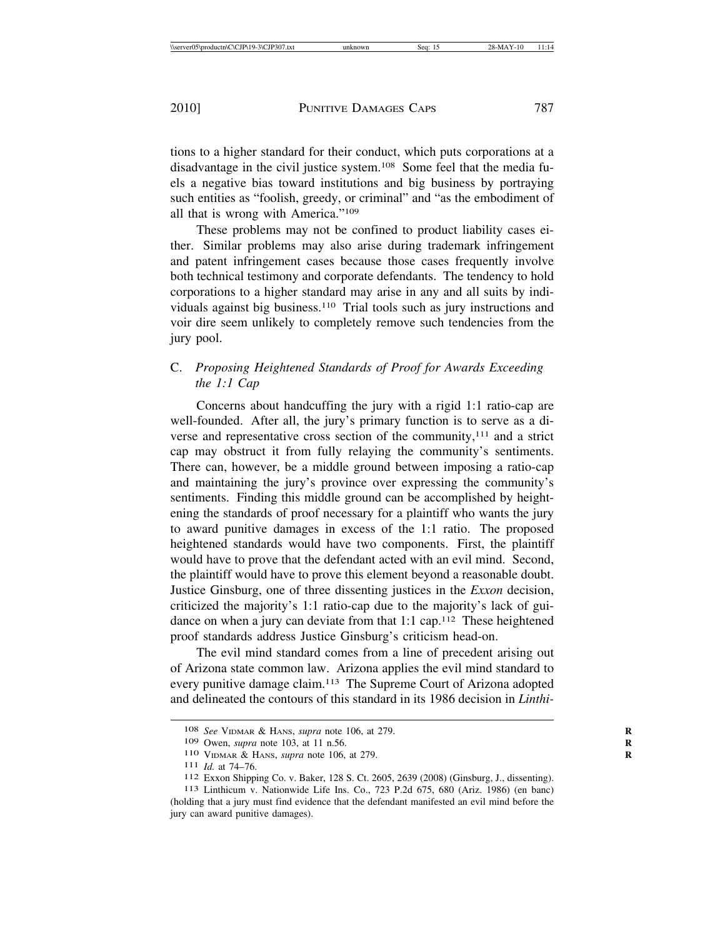tions to a higher standard for their conduct, which puts corporations at a disadvantage in the civil justice system.108 Some feel that the media fuels a negative bias toward institutions and big business by portraying such entities as "foolish, greedy, or criminal" and "as the embodiment of all that is wrong with America."109

These problems may not be confined to product liability cases either. Similar problems may also arise during trademark infringement and patent infringement cases because those cases frequently involve both technical testimony and corporate defendants. The tendency to hold corporations to a higher standard may arise in any and all suits by individuals against big business.110 Trial tools such as jury instructions and voir dire seem unlikely to completely remove such tendencies from the jury pool.

# C. *Proposing Heightened Standards of Proof for Awards Exceeding the 1:1 Cap*

Concerns about handcuffing the jury with a rigid 1:1 ratio-cap are well-founded. After all, the jury's primary function is to serve as a diverse and representative cross section of the community,111 and a strict cap may obstruct it from fully relaying the community's sentiments. There can, however, be a middle ground between imposing a ratio-cap and maintaining the jury's province over expressing the community's sentiments. Finding this middle ground can be accomplished by heightening the standards of proof necessary for a plaintiff who wants the jury to award punitive damages in excess of the 1:1 ratio. The proposed heightened standards would have two components. First, the plaintiff would have to prove that the defendant acted with an evil mind. Second, the plaintiff would have to prove this element beyond a reasonable doubt. Justice Ginsburg, one of three dissenting justices in the *Exxon* decision, criticized the majority's 1:1 ratio-cap due to the majority's lack of guidance on when a jury can deviate from that 1:1 cap.112 These heightened proof standards address Justice Ginsburg's criticism head-on.

The evil mind standard comes from a line of precedent arising out of Arizona state common law. Arizona applies the evil mind standard to every punitive damage claim.<sup>113</sup> The Supreme Court of Arizona adopted and delineated the contours of this standard in its 1986 decision in *Linthi-*

<sup>108</sup> *See* VIDMAR & HANS, *supra* note 106, at 279. **R**

<sup>109</sup> Owen, *supra* note 103, at 11 n.56. **R**

<sup>110</sup> VIDMAR & HANS, *supra* note 106, at 279.<br>111 *Id.* at 74–76.

<sup>111</sup> *Id.* at 74–76. <sup>112</sup> Exxon Shipping Co. v. Baker, 128 S. Ct. 2605, 2639 (2008) (Ginsburg, J., dissenting). <sup>113</sup> Linthicum v. Nationwide Life Ins. Co., 723 P.2d 675, 680 (Ariz. 1986) (en banc)

<sup>(</sup>holding that a jury must find evidence that the defendant manifested an evil mind before the jury can award punitive damages).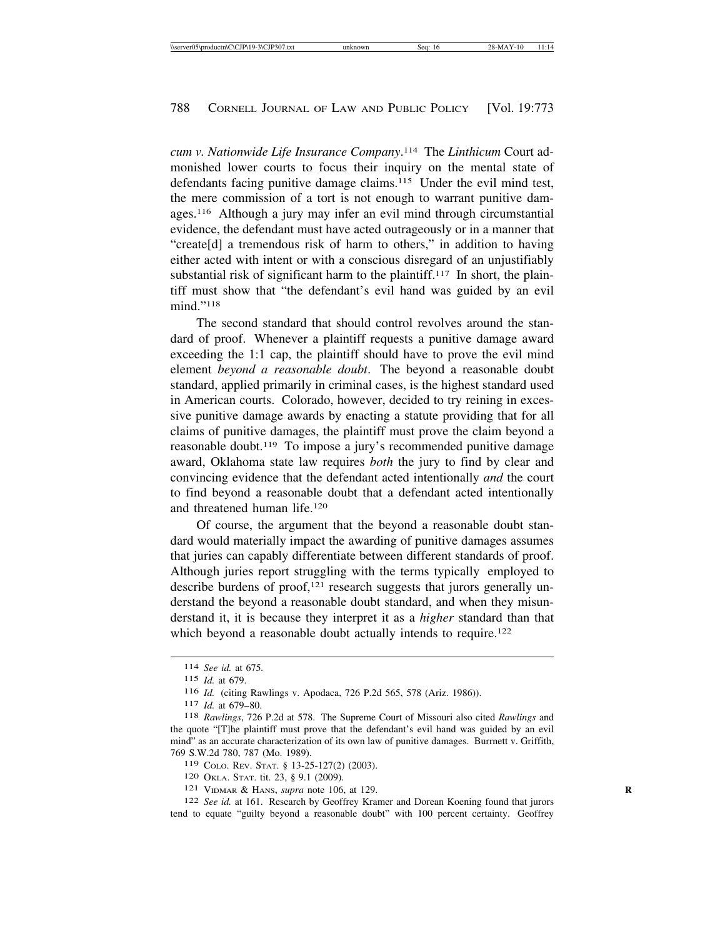*cum v. Nationwide Life Insurance Company*. 114 The *Linthicum* Court admonished lower courts to focus their inquiry on the mental state of defendants facing punitive damage claims.115 Under the evil mind test, the mere commission of a tort is not enough to warrant punitive damages.116 Although a jury may infer an evil mind through circumstantial evidence, the defendant must have acted outrageously or in a manner that "create[d] a tremendous risk of harm to others," in addition to having either acted with intent or with a conscious disregard of an unjustifiably substantial risk of significant harm to the plaintiff.<sup>117</sup> In short, the plaintiff must show that "the defendant's evil hand was guided by an evil mind."118

The second standard that should control revolves around the standard of proof. Whenever a plaintiff requests a punitive damage award exceeding the 1:1 cap, the plaintiff should have to prove the evil mind element *beyond a reasonable doubt*. The beyond a reasonable doubt standard, applied primarily in criminal cases, is the highest standard used in American courts. Colorado, however, decided to try reining in excessive punitive damage awards by enacting a statute providing that for all claims of punitive damages, the plaintiff must prove the claim beyond a reasonable doubt.119 To impose a jury's recommended punitive damage award, Oklahoma state law requires *both* the jury to find by clear and convincing evidence that the defendant acted intentionally *and* the court to find beyond a reasonable doubt that a defendant acted intentionally and threatened human life.120

Of course, the argument that the beyond a reasonable doubt standard would materially impact the awarding of punitive damages assumes that juries can capably differentiate between different standards of proof. Although juries report struggling with the terms typically employed to describe burdens of proof, $121$  research suggests that jurors generally understand the beyond a reasonable doubt standard, and when they misunderstand it, it is because they interpret it as a *higher* standard than that which beyond a reasonable doubt actually intends to require.<sup>122</sup>

<sup>114</sup> *See id.* at 675*.* <sup>115</sup> *Id.* at 679.

<sup>117</sup> *Id.* at 679–80.<br>118 *Rawlings*, 726 P.2d at 578. The Supreme Court of Missouri also cited *Rawlings* and the quote "[T]he plaintiff must prove that the defendant's evil hand was guided by an evil mind" as an accurate characterization of its own law of punitive damages. Burrnett v. Griffith, 769 S.W.2d 780, 787 (Mo. 1989).

<sup>119</sup> COLO. REV. STAT. § 13-25-127(2) (2003). <sup>120</sup> OKLA. STAT. tit. 23, § 9.1 (2009). <sup>121</sup> VIDMAR & HANS, *supra* note 106, at 129. **<sup>R</sup>**

<sup>122</sup> *See id.* at 161. Research by Geoffrey Kramer and Dorean Koening found that jurors tend to equate "guilty beyond a reasonable doubt" with 100 percent certainty. Geoffrey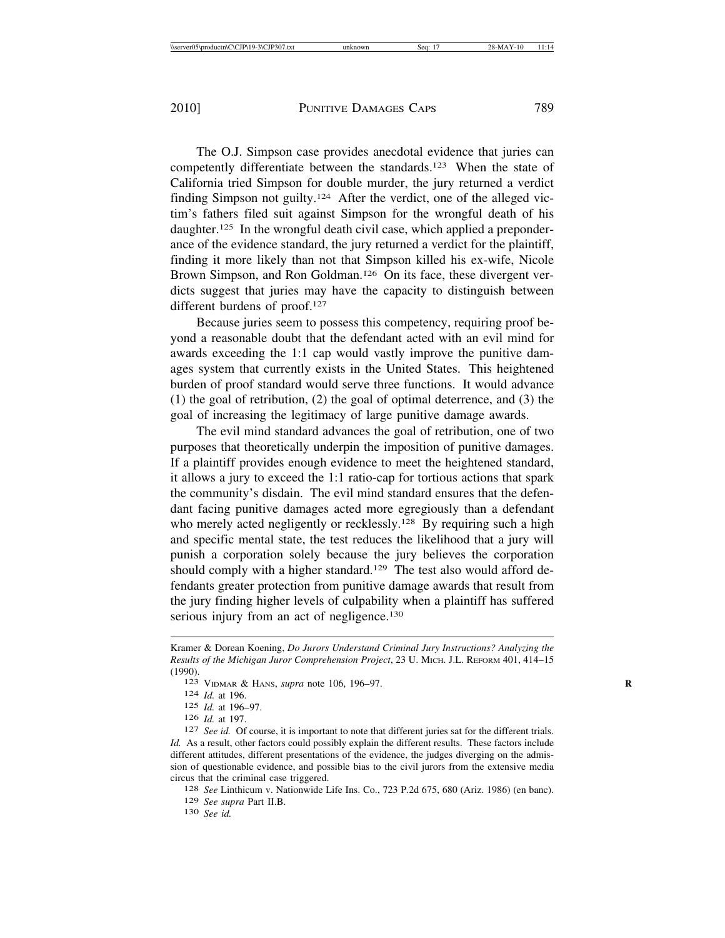The O.J. Simpson case provides anecdotal evidence that juries can competently differentiate between the standards.123 When the state of California tried Simpson for double murder, the jury returned a verdict finding Simpson not guilty.124 After the verdict, one of the alleged victim's fathers filed suit against Simpson for the wrongful death of his daughter.125 In the wrongful death civil case, which applied a preponderance of the evidence standard, the jury returned a verdict for the plaintiff, finding it more likely than not that Simpson killed his ex-wife, Nicole Brown Simpson, and Ron Goldman.<sup>126</sup> On its face, these divergent verdicts suggest that juries may have the capacity to distinguish between different burdens of proof.<sup>127</sup>

Because juries seem to possess this competency, requiring proof beyond a reasonable doubt that the defendant acted with an evil mind for awards exceeding the 1:1 cap would vastly improve the punitive damages system that currently exists in the United States. This heightened burden of proof standard would serve three functions. It would advance (1) the goal of retribution, (2) the goal of optimal deterrence, and (3) the goal of increasing the legitimacy of large punitive damage awards.

The evil mind standard advances the goal of retribution, one of two purposes that theoretically underpin the imposition of punitive damages. If a plaintiff provides enough evidence to meet the heightened standard, it allows a jury to exceed the 1:1 ratio-cap for tortious actions that spark the community's disdain. The evil mind standard ensures that the defendant facing punitive damages acted more egregiously than a defendant who merely acted negligently or recklessly.<sup>128</sup> By requiring such a high and specific mental state, the test reduces the likelihood that a jury will punish a corporation solely because the jury believes the corporation should comply with a higher standard.<sup>129</sup> The test also would afford defendants greater protection from punitive damage awards that result from the jury finding higher levels of culpability when a plaintiff has suffered serious injury from an act of negligence.<sup>130</sup>

<sup>129</sup> *See supra* Part II.B. <sup>130</sup> *See id.*

Kramer & Dorean Koening, *Do Jurors Understand Criminal Jury Instructions? Analyzing the Results of the Michigan Juror Comprehension Project*, 23 U. MICH. J.L. REFORM 401, 414–15 (1990). <sup>123</sup> VIDMAR & HANS, *supra* note 106, 196–97. **<sup>R</sup>**

<sup>124</sup> *Id.* at 196.

<sup>125</sup> *Id.* at 196–97.

<sup>126</sup> *Id.* at 197. <sup>127</sup> *See id.* Of course, it is important to note that different juries sat for the different trials. *Id.* As a result, other factors could possibly explain the different results. These factors include different attitudes, different presentations of the evidence, the judges diverging on the admission of questionable evidence, and possible bias to the civil jurors from the extensive media circus that the criminal case triggered. <sup>128</sup> *See* Linthicum v. Nationwide Life Ins. Co., 723 P.2d 675, 680 (Ariz. 1986) (en banc).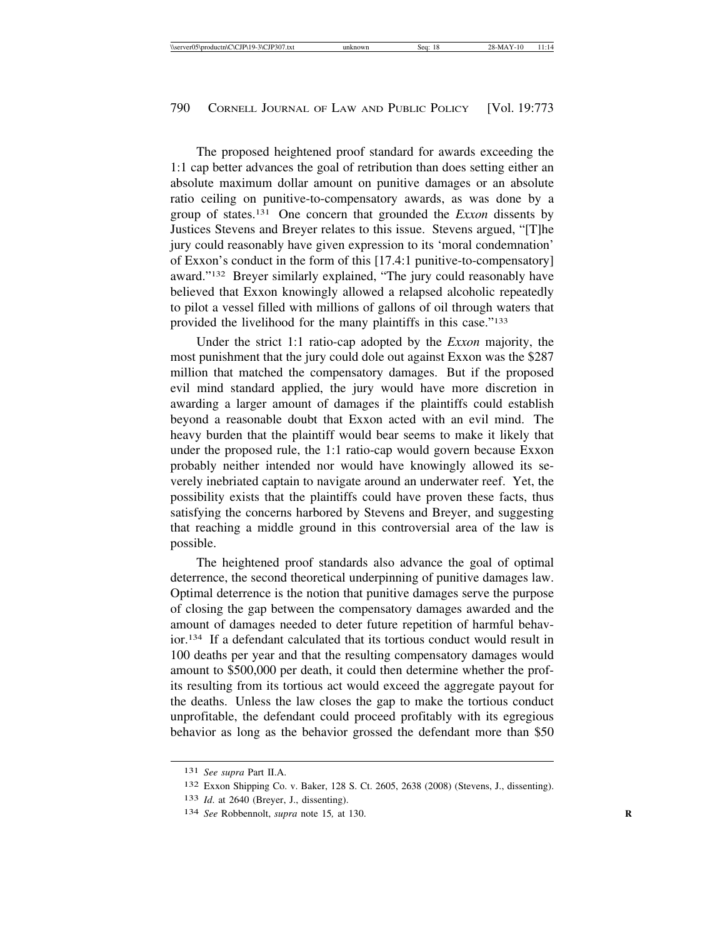The proposed heightened proof standard for awards exceeding the 1:1 cap better advances the goal of retribution than does setting either an absolute maximum dollar amount on punitive damages or an absolute ratio ceiling on punitive-to-compensatory awards, as was done by a group of states.131 One concern that grounded the *Exxon* dissents by Justices Stevens and Breyer relates to this issue. Stevens argued, "[T]he jury could reasonably have given expression to its 'moral condemnation' of Exxon's conduct in the form of this [17.4:1 punitive-to-compensatory] award."132 Breyer similarly explained, "The jury could reasonably have believed that Exxon knowingly allowed a relapsed alcoholic repeatedly to pilot a vessel filled with millions of gallons of oil through waters that provided the livelihood for the many plaintiffs in this case."133

Under the strict 1:1 ratio-cap adopted by the *Exxon* majority, the most punishment that the jury could dole out against Exxon was the \$287 million that matched the compensatory damages. But if the proposed evil mind standard applied, the jury would have more discretion in awarding a larger amount of damages if the plaintiffs could establish beyond a reasonable doubt that Exxon acted with an evil mind. The heavy burden that the plaintiff would bear seems to make it likely that under the proposed rule, the 1:1 ratio-cap would govern because Exxon probably neither intended nor would have knowingly allowed its severely inebriated captain to navigate around an underwater reef. Yet, the possibility exists that the plaintiffs could have proven these facts, thus satisfying the concerns harbored by Stevens and Breyer, and suggesting that reaching a middle ground in this controversial area of the law is possible.

The heightened proof standards also advance the goal of optimal deterrence, the second theoretical underpinning of punitive damages law. Optimal deterrence is the notion that punitive damages serve the purpose of closing the gap between the compensatory damages awarded and the amount of damages needed to deter future repetition of harmful behavior.134 If a defendant calculated that its tortious conduct would result in 100 deaths per year and that the resulting compensatory damages would amount to \$500,000 per death, it could then determine whether the profits resulting from its tortious act would exceed the aggregate payout for the deaths. Unless the law closes the gap to make the tortious conduct unprofitable, the defendant could proceed profitably with its egregious behavior as long as the behavior grossed the defendant more than \$50

<sup>131</sup> *See supra* Part II.A.

<sup>132</sup> Exxon Shipping Co. v. Baker, 128 S. Ct. 2605, 2638 (2008) (Stevens, J., dissenting).

<sup>133</sup> *Id*. at 2640 (Breyer, J., dissenting).

<sup>134</sup> *See* Robbennolt, *supra* note 15*,* at 130. **R**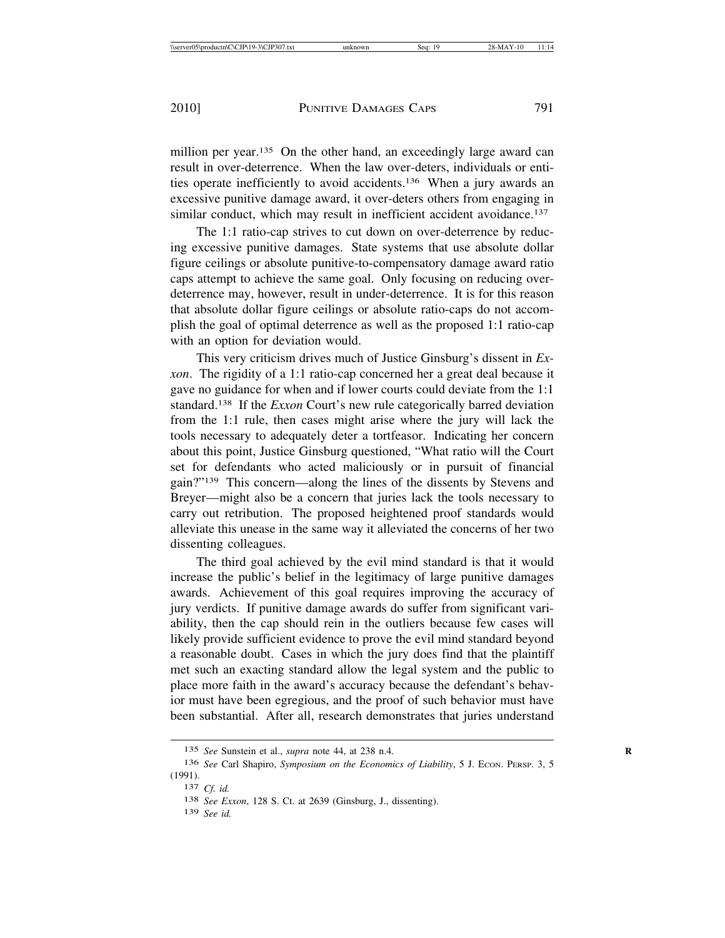million per year.<sup>135</sup> On the other hand, an exceedingly large award can result in over-deterrence. When the law over-deters, individuals or entities operate inefficiently to avoid accidents.136 When a jury awards an excessive punitive damage award, it over-deters others from engaging in similar conduct, which may result in inefficient accident avoidance.<sup>137</sup>

The 1:1 ratio-cap strives to cut down on over-deterrence by reducing excessive punitive damages. State systems that use absolute dollar figure ceilings or absolute punitive-to-compensatory damage award ratio caps attempt to achieve the same goal. Only focusing on reducing overdeterrence may, however, result in under-deterrence. It is for this reason that absolute dollar figure ceilings or absolute ratio-caps do not accomplish the goal of optimal deterrence as well as the proposed 1:1 ratio-cap with an option for deviation would.

This very criticism drives much of Justice Ginsburg's dissent in *Exxon*. The rigidity of a 1:1 ratio-cap concerned her a great deal because it gave no guidance for when and if lower courts could deviate from the 1:1 standard.138 If the *Exxon* Court's new rule categorically barred deviation from the 1:1 rule, then cases might arise where the jury will lack the tools necessary to adequately deter a tortfeasor. Indicating her concern about this point, Justice Ginsburg questioned, "What ratio will the Court set for defendants who acted maliciously or in pursuit of financial gain?"139 This concern—along the lines of the dissents by Stevens and Breyer—might also be a concern that juries lack the tools necessary to carry out retribution. The proposed heightened proof standards would alleviate this unease in the same way it alleviated the concerns of her two dissenting colleagues.

The third goal achieved by the evil mind standard is that it would increase the public's belief in the legitimacy of large punitive damages awards. Achievement of this goal requires improving the accuracy of jury verdicts. If punitive damage awards do suffer from significant variability, then the cap should rein in the outliers because few cases will likely provide sufficient evidence to prove the evil mind standard beyond a reasonable doubt. Cases in which the jury does find that the plaintiff met such an exacting standard allow the legal system and the public to place more faith in the award's accuracy because the defendant's behavior must have been egregious, and the proof of such behavior must have been substantial. After all, research demonstrates that juries understand

<sup>135</sup> *See* Sunstein et al., *supra* note 44, at 238 n.4. **R**

<sup>136</sup> *See* Carl Shapiro, *Symposium on the Economics of Liability*, 5 J. ECON. PERSP. 3, 5 (1991).

<sup>137</sup> *Cf. id.*

<sup>138</sup> *See Exxon*, 128 S. Ct. at 2639 (Ginsburg, J., dissenting).

<sup>139</sup> *See id.*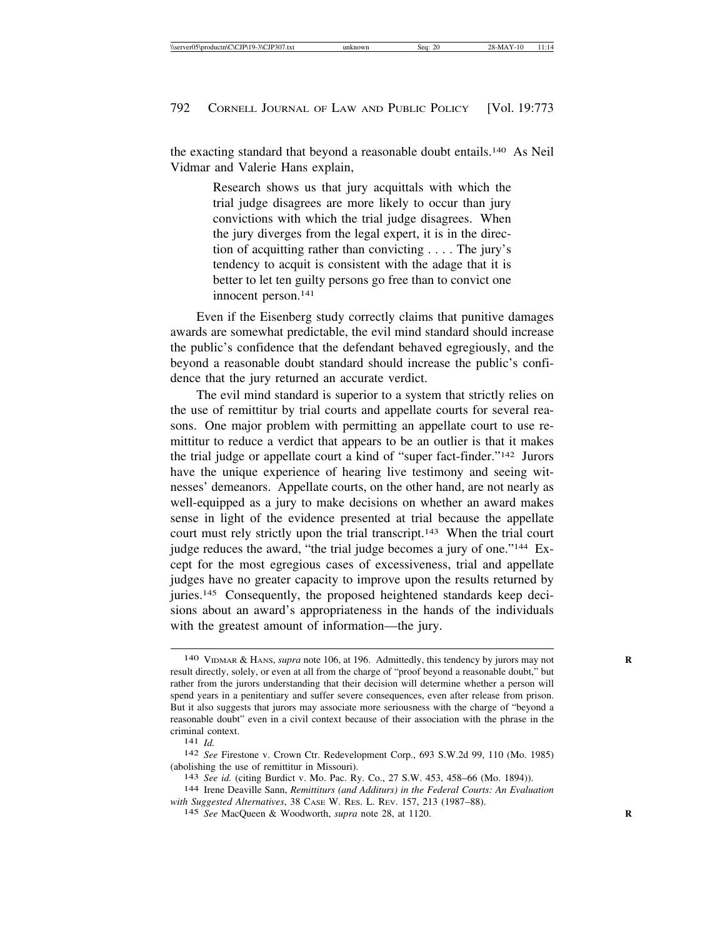the exacting standard that beyond a reasonable doubt entails.140 As Neil Vidmar and Valerie Hans explain,

> Research shows us that jury acquittals with which the trial judge disagrees are more likely to occur than jury convictions with which the trial judge disagrees. When the jury diverges from the legal expert, it is in the direction of acquitting rather than convicting . . . . The jury's tendency to acquit is consistent with the adage that it is better to let ten guilty persons go free than to convict one innocent person.141

Even if the Eisenberg study correctly claims that punitive damages awards are somewhat predictable, the evil mind standard should increase the public's confidence that the defendant behaved egregiously, and the beyond a reasonable doubt standard should increase the public's confidence that the jury returned an accurate verdict.

The evil mind standard is superior to a system that strictly relies on the use of remittitur by trial courts and appellate courts for several reasons. One major problem with permitting an appellate court to use remittitur to reduce a verdict that appears to be an outlier is that it makes the trial judge or appellate court a kind of "super fact-finder."142 Jurors have the unique experience of hearing live testimony and seeing witnesses' demeanors. Appellate courts, on the other hand, are not nearly as well-equipped as a jury to make decisions on whether an award makes sense in light of the evidence presented at trial because the appellate court must rely strictly upon the trial transcript.143 When the trial court judge reduces the award, "the trial judge becomes a jury of one."144 Except for the most egregious cases of excessiveness, trial and appellate judges have no greater capacity to improve upon the results returned by juries.145 Consequently, the proposed heightened standards keep decisions about an award's appropriateness in the hands of the individuals with the greatest amount of information—the jury.

<sup>140</sup> VIDMAR & HANS, *supra* note 106, at 196. Admittedly, this tendency by jurors may not **R** result directly, solely, or even at all from the charge of "proof beyond a reasonable doubt," but rather from the jurors understanding that their decision will determine whether a person will spend years in a penitentiary and suffer severe consequences, even after release from prison. But it also suggests that jurors may associate more seriousness with the charge of "beyond a reasonable doubt" even in a civil context because of their association with the phrase in the criminal context. <sup>141</sup> *Id.* <sup>142</sup> *See* Firestone v. Crown Ctr. Redevelopment Corp., 693 S.W.2d 99, 110 (Mo. 1985)

<sup>(</sup>abolishing the use of remittitur in Missouri).<br>
<sup>143</sup> *See id.* (citing Burdict v. Mo. Pac. Ry. Co., 27 S.W. 453, 458–66 (Mo. 1894)).<br>
<sup>144</sup> Irene Deaville Sann, *Remittiturs (and Additurs) in the Federal Courts: An Evalu* 

*with Suggested Alternatives*, 38 CASE W. RES. L. REV. 157, 213 (1987–88).

<sup>145</sup> *See* MacQueen & Woodworth, *supra* note 28, at 1120. **R**